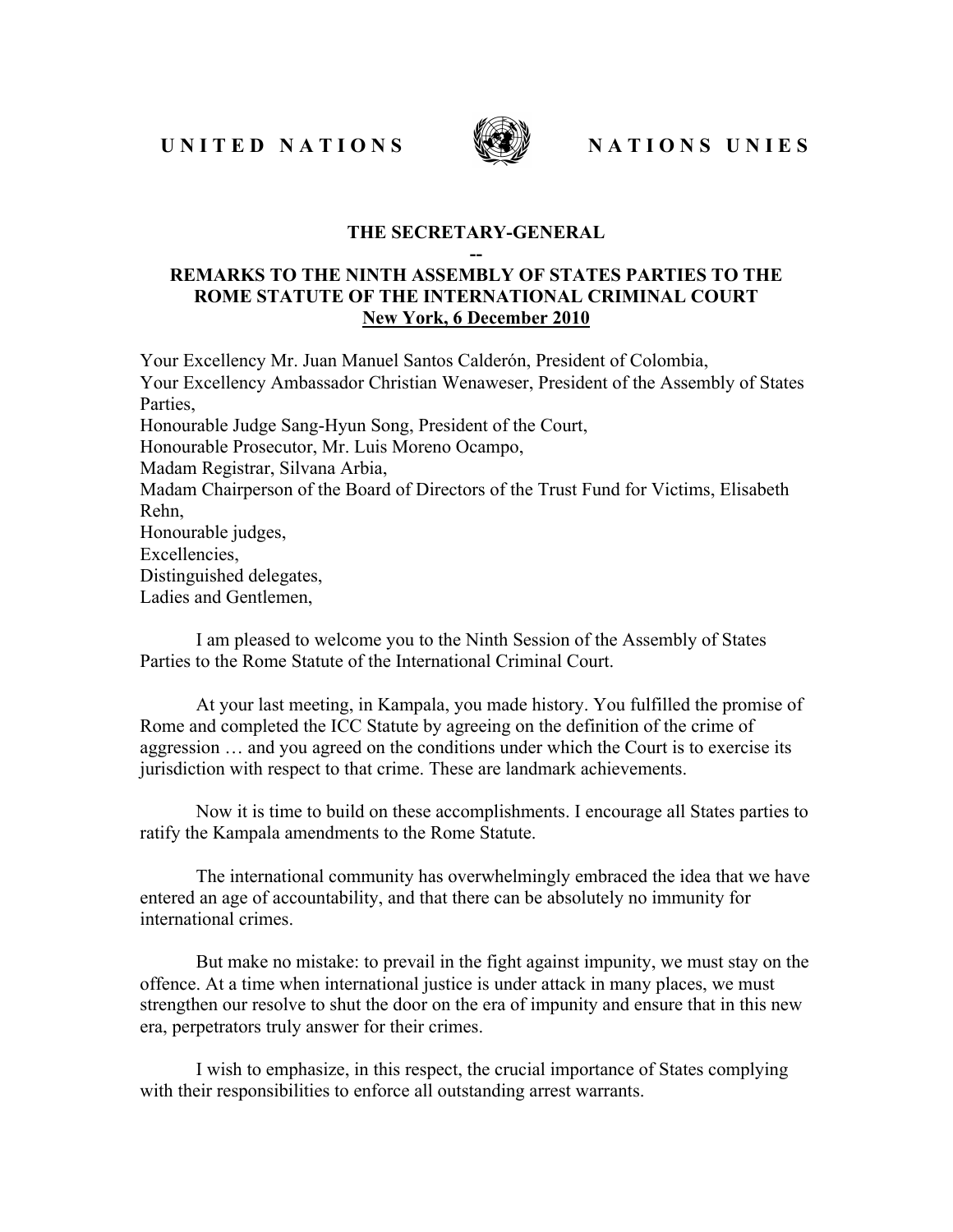UNITED NATIONS WERE NATIONS UNIES



## **THE SECRETARY-GENERAL --**

## **REMARKS TO THE NINTH ASSEMBLY OF STATES PARTIES TO THE ROME STATUTE OF THE INTERNATIONAL CRIMINAL COURT New York, 6 December 2010**

Your Excellency Mr. Juan Manuel Santos Calderón, President of Colombia, Your Excellency Ambassador Christian Wenaweser, President of the Assembly of States Parties, Honourable Judge Sang-Hyun Song, President of the Court, Honourable Prosecutor, Mr. Luis Moreno Ocampo, Madam Registrar, Silvana Arbia, Madam Chairperson of the Board of Directors of the Trust Fund for Victims, Elisabeth Rehn, Honourable judges, Excellencies, Distinguished delegates, Ladies and Gentlemen,

I am pleased to welcome you to the Ninth Session of the Assembly of States Parties to the Rome Statute of the International Criminal Court.

At your last meeting, in Kampala, you made history. You fulfilled the promise of Rome and completed the ICC Statute by agreeing on the definition of the crime of aggression … and you agreed on the conditions under which the Court is to exercise its jurisdiction with respect to that crime. These are landmark achievements.

Now it is time to build on these accomplishments. I encourage all States parties to ratify the Kampala amendments to the Rome Statute.

The international community has overwhelmingly embraced the idea that we have entered an age of accountability, and that there can be absolutely no immunity for international crimes.

But make no mistake: to prevail in the fight against impunity, we must stay on the offence. At a time when international justice is under attack in many places, we must strengthen our resolve to shut the door on the era of impunity and ensure that in this new era, perpetrators truly answer for their crimes.

I wish to emphasize, in this respect, the crucial importance of States complying with their responsibilities to enforce all outstanding arrest warrants.